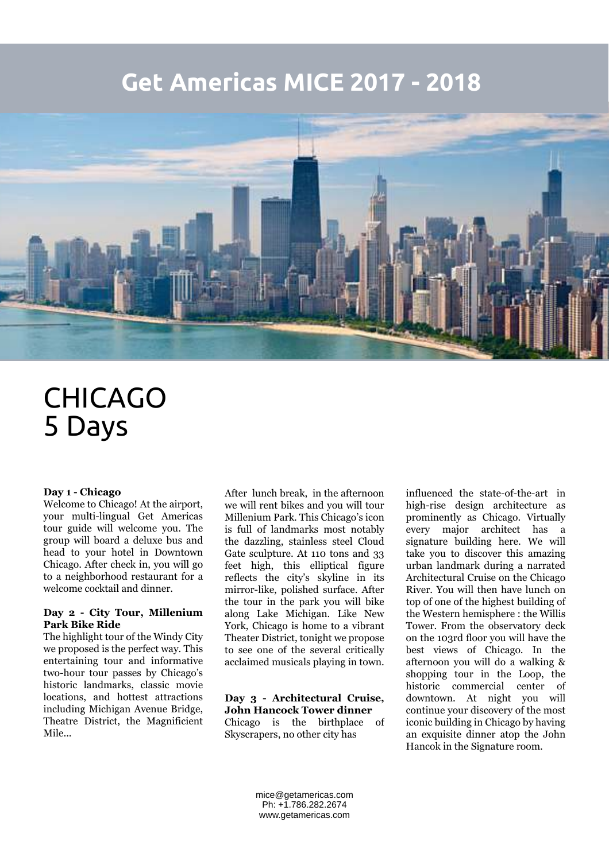## **Get Americas MICE 2017 - 2018**



# CHICAGO 5 Days

#### **Day 1 - Chicago**

Welcome to Chicago! At the airport, your multi-lingual Get Americas tour guide will welcome you. The group will board a deluxe bus and head to your hotel in Downtown Chicago. After check in, you will go to a neighborhood restaurant for a welcome cocktail and dinner.

#### **Day 2 - City Tour, Millenium Park Bike Ride**

The highlight tour of the Windy City we proposed is the perfect way. This entertaining tour and informative two-hour tour passes by Chicago's historic landmarks, classic movie locations, and hottest attractions including Michigan Avenue Bridge, Theatre District, the Magnificient Mile...

After lunch break, in the afternoon we will rent bikes and you will tour Millenium Park. This Chicago's icon is full of landmarks most notably the dazzling, stainless steel Cloud Gate sculpture. At 110 tons and 33 feet high, this elliptical figure reflects the city's skyline in its mirror-like, polished surface. After the tour in the park you will bike along Lake Michigan. Like New York, Chicago is home to a vibrant Theater District, tonight we propose to see one of the several critically acclaimed musicals playing in town.

#### **Day 3 - Architectural Cruise, John Hancock Tower dinner** Chicago is the birthplace of Skyscrapers, no other city has

influenced the state-of-the-art in high-rise design architecture as prominently as Chicago. Virtually every major architect has a signature building here. We will take you to discover this amazing urban landmark during a narrated Architectural Cruise on the Chicago River. You will then have lunch on top of one of the highest building of the Western hemisphere : the Willis Tower. From the observatory deck on the 103rd floor you will have the best views of Chicago. In the afternoon you will do a walking & shopping tour in the Loop, the historic commercial center of downtown. At night you will continue your discovery of the most iconic building in Chicago by having an exquisite dinner atop the John Hancok in the Signature room.

mice@getamericas.com Ph: +1.786.282.2674 www.getamericas.com